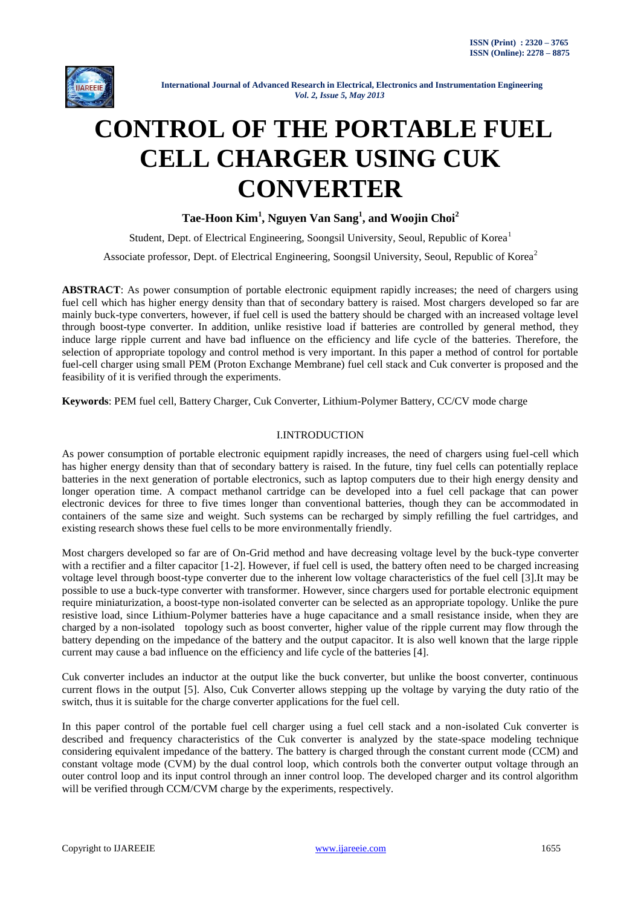

# **CONTROL OF THE PORTABLE FUEL CELL CHARGER USING CUK CONVERTER**

**Tae-Hoon Kim<sup>1</sup> , Nguyen Van Sang<sup>1</sup> , and Woojin Choi<sup>2</sup>**

Student, Dept. of Electrical Engineering, Soongsil University, Seoul, Republic of Korea<sup>1</sup> Associate professor, Dept. of Electrical Engineering, Soongsil University, Seoul, Republic of Korea<sup>2</sup>

**ABSTRACT**: As power consumption of portable electronic equipment rapidly increases; the need of chargers using fuel cell which has higher energy density than that of secondary battery is raised. Most chargers developed so far are mainly buck-type converters, however, if fuel cell is used the battery should be charged with an increased voltage level through boost-type converter. In addition, unlike resistive load if batteries are controlled by general method, they induce large ripple current and have bad influence on the efficiency and life cycle of the batteries. Therefore, the selection of appropriate topology and control method is very important. In this paper a method of control for portable fuel-cell charger using small PEM (Proton Exchange Membrane) fuel cell stack and Cuk converter is proposed and the feasibility of it is verified through the experiments.

**Keywords**: PEM fuel cell, Battery Charger, Cuk Converter, Lithium-Polymer Battery, CC/CV mode charge

# I.INTRODUCTION

As power consumption of portable electronic equipment rapidly increases, the need of chargers using fuel-cell which has higher energy density than that of secondary battery is raised. In the future, tiny fuel cells can potentially replace batteries in the next generation of portable electronics, such as laptop computers due to their high energy density and longer operation time. A compact methanol cartridge can be developed into a fuel cell package that can power electronic devices for three to five times longer than conventional batteries, though they can be accommodated in containers of the same size and weight. Such systems can be recharged by simply refilling the fuel cartridges, and existing research shows these fuel cells to be more environmentally friendly.

Most chargers developed so far are of On-Grid method and have decreasing voltage level by the buck-type converter with a rectifier and a filter capacitor [1-2]. However, if fuel cell is used, the battery often need to be charged increasing voltage level through boost-type converter due to the inherent low voltage characteristics of the fuel cell [3].It may be possible to use a buck-type converter with transformer. However, since chargers used for portable electronic equipment require miniaturization, a boost-type non-isolated converter can be selected as an appropriate topology. Unlike the pure resistive load, since Lithium-Polymer batteries have a huge capacitance and a small resistance inside, when they are charged by a non-isolated topology such as boost converter, higher value of the ripple current may flow through the battery depending on the impedance of the battery and the output capacitor. It is also well known that the large ripple current may cause a bad influence on the efficiency and life cycle of the batteries [4].

Cuk converter includes an inductor at the output like the buck converter, but unlike the boost converter, continuous current flows in the output [5]. Also, Cuk Converter allows stepping up the voltage by varying the duty ratio of the switch, thus it is suitable for the charge converter applications for the fuel cell.

In this paper control of the portable fuel cell charger using a fuel cell stack and a non-isolated Cuk converter is described and frequency characteristics of the Cuk converter is analyzed by the state-space modeling technique considering equivalent impedance of the battery. The battery is charged through the constant current mode (CCM) and constant voltage mode (CVM) by the dual control loop, which controls both the converter output voltage through an outer control loop and its input control through an inner control loop. The developed charger and its control algorithm will be verified through CCM/CVM charge by the experiments, respectively.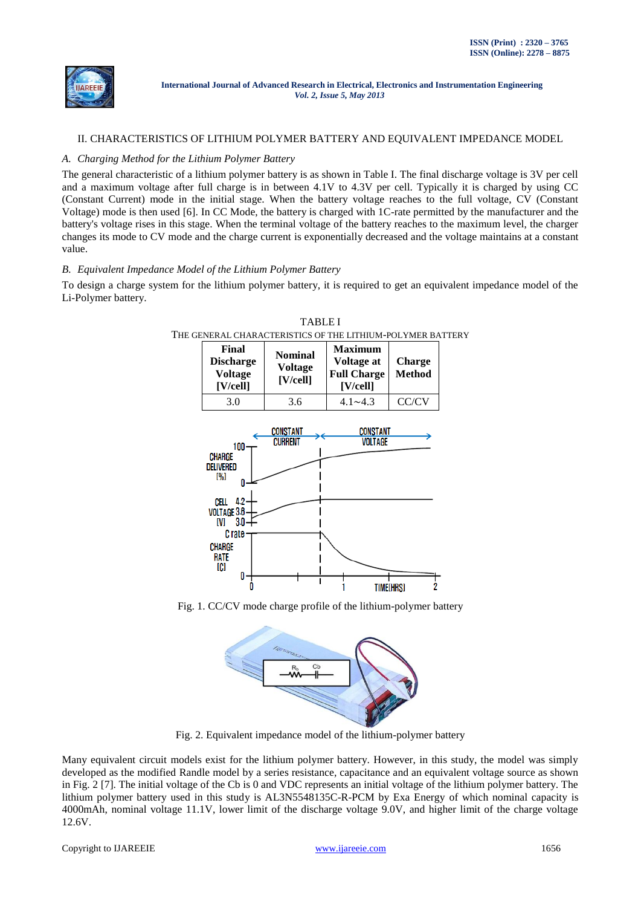

## II. CHARACTERISTICS OF LITHIUM POLYMER BATTERY AND EQUIVALENT IMPEDANCE MODEL

## *A. Charging Method for the Lithium Polymer Battery*

The general characteristic of a lithium polymer battery is as shown in Table I. The final discharge voltage is 3V per cell and a maximum voltage after full charge is in between 4.1V to 4.3V per cell. Typically it is charged by using CC (Constant Current) mode in the initial stage. When the battery voltage reaches to the full voltage, CV (Constant Voltage) mode is then used [6]. In CC Mode, the battery is charged with 1C-rate permitted by the manufacturer and the battery's voltage rises in this stage. When the terminal voltage of the battery reaches to the maximum level, the charger changes its mode to CV mode and the charge current is exponentially decreased and the voltage maintains at a constant value.

## *B. Equivalent Impedance Model of the Lithium Polymer Battery*

To design a charge system for the lithium polymer battery, it is required to get an equivalent impedance model of the Li-Polymer battery.



TABLE I THE GENERAL CHARACTERISTICS OF THE LITHIUM-POLYMER BATTERY

Fig. 1. CC/CV mode charge profile of the lithium-polymer battery



Fig. 2. Equivalent impedance model of the lithium-polymer battery

Many equivalent circuit models exist for the lithium polymer battery. However, in this study, the model was simply developed as the modified Randle model by a series resistance, capacitance and an equivalent voltage source as shown in Fig. 2 [7]. The initial voltage of the Cb is 0 and VDC represents an initial voltage of the lithium polymer battery. The lithium polymer battery used in this study is AL3N5548135C-R-PCM by Exa Energy of which nominal capacity is 4000mAh, nominal voltage 11.1V, lower limit of the discharge voltage 9.0V, and higher limit of the charge voltage 12.6V.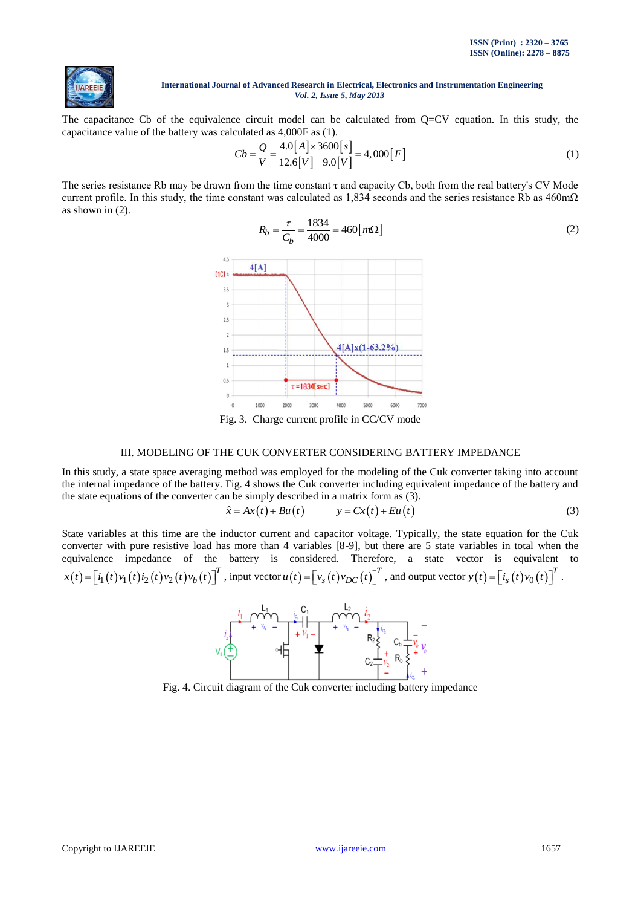

The capacitance Cb of the equivalence circuit model can be calculated from Q=CV equation. In this study, the capacitance value of the battery was calculated as 4,000F as (1).<br> $Cb - Q = \frac{4.0[A] \times 3600[s]}{B}$ 

$$
Cb = \frac{Q}{V} = \frac{4.0[A] \times 3600[s]}{12.6[V] - 9.0[V]} = 4,000[F]
$$
\n(1)

The series resistance Rb may be drawn from the time constant  $\tau$  and capacity Cb, both from the real battery's CV Mode current profile. In this study, the time constant was calculated as  $1,834$  seconds and the series resistance Rb as  $460 \text{m}\Omega$ as shown in (2).

$$
R_b = \frac{\tau}{C_b} = \frac{1834}{4000} = 460 \left[ m\Omega \right]
$$
 (2)



Fig. 3. Charge current profile in CC/CV mode

## III. MODELING OF THE CUK CONVERTER CONSIDERING BATTERY IMPEDANCE

In this study, a state space averaging method was employed for the modeling of the Cuk converter taking into account the internal impedance of the battery. Fig. 4 shows the Cuk converter including equivalent impedance of the battery and the state equations of the converter can be simply described in a matrix form as (3).<br>  $\hat{x} = Ax(t) + Bu(t)$   $y = Cx(t) + Eu(t)$ 

$$
\hat{x} = Ax(t) + Bu(t) \qquad y = Cx(t) + Eu(t) \tag{3}
$$

State variables at this time are the inductor current and capacitor voltage. Typically, the state equation for the Cuk converter with pure resistive load has more than 4 variables [8-9], but there are 5 state variables in total when the equivalence impedance of the battery is considered. Therefore, a state vector is equivalent to  $(t) = [i_1(t)v_1(t)i_2(t)v_2(t)v_b(t)]^T$ , in  $\mathbf{r} = \begin{bmatrix} i_1(t) v_1(t) i_2(t) v_2(t) v_b(t) \end{bmatrix}^T$ , input vector  $u(t) = \begin{bmatrix} v_s(t) v_{DC}(t) \end{bmatrix}^T$ , and output vector  $y(t) = \begin{bmatrix} i_s(t) v_0(t) \end{bmatrix}^T$  $y(t) = [i_s(t)v_0(t)]^T$ .



Fig. 4. Circuit diagram of the Cuk converter including battery impedance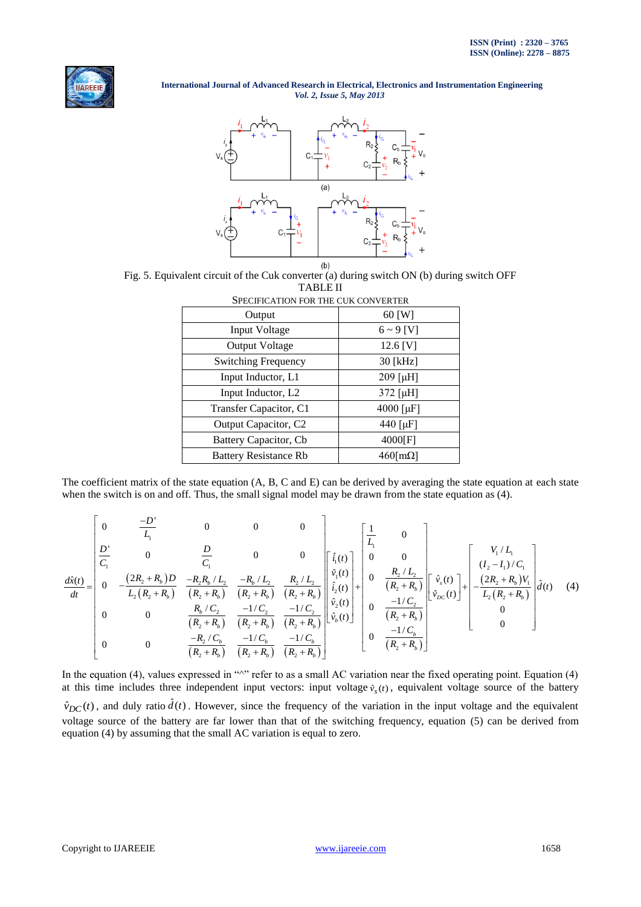



Fig. 5. Equivalent circuit of the Cuk converter (a) during switch ON (b) during switch OFF TABLE II SPECIFICATION FOR THE CUK CONVERTER

| SPECIFICATION FOR THE CUR CONVERTER |                     |
|-------------------------------------|---------------------|
| Output                              | $60$ [W]            |
| <b>Input Voltage</b>                | $6 \sim 9$ [V]      |
| <b>Output Voltage</b>               | 12.6 [V]            |
| <b>Switching Frequency</b>          | $30$ [kHz]          |
| Input Inductor, L1                  | 209 [µH]            |
| Input Inductor, L <sub>2</sub>      | 372 [µH]            |
| Transfer Capacitor, C1              | 4000 [µF]           |
| Output Capacitor, C2                | 440 [ $\mu$ F]      |
| Battery Capacitor, Cb               | 4000[F]             |
| <b>Battery Resistance Rb</b>        | $460$ [m $\Omega$ ] |

The coefficient matrix of the state equation (A, B, C and E) can be derived by averaging the state equation at each state<br>when the switch is on and off. Thus, the small signal model may be drawn from the state equation as when the switch is on and off. Thus, the small signal model may be drawn from the state equation as (4).

The coefficient matrix of the state equation (A, B, C and E) can be derived by averaging the state equation at each state  
\nwhen the switch is on and off. Thus, the small signal model may be drawn from the state equation as (4).  
\n
$$
\frac{d\hat{x}(t)}{L_1} = \begin{bmatrix}\n0 & \frac{-D'}{L_1} & 0 & 0 \\
0 & \frac{-D'}{L_1} & 0 & 0 \\
0 & 0 & \frac{D}{C_1} & 0 \\
0 & -\frac{(2R_2 + R_b)D}{L_2(R_2 + R_b)} & \frac{-R_2R_b/L_2}{(R_2 + R_b)} & \frac{-R_b/L_2}{(R_2 + R_b)} \\
0 & 0 & \frac{R_2/L_2}{(R_2 + R_b)} & \frac{R_2/L_2}{(R_2 + R_b)} \\
0 & 0 & \frac{R_b/C_2}{(R_2 + R_b)} & \frac{-1/C_2}{(R_2 + R_b)} & \frac{-1/C_2}{(R_2 + R_b)}\n\end{bmatrix}\n\begin{bmatrix}\n\hat{i}_1(t) \\
\hat{i}_2(t) \\
\hat{i}_3(t)\n\end{bmatrix} + \begin{bmatrix}\n0 \\
0 \\
0 \\
\hat{i}_1(t)\n\end{bmatrix} + \begin{bmatrix}\n0 \\
0 \\
0 \\
\frac{R_2/L_2}{(R_2 + R_b)} \\
0 \\
0 \\
0 \\
0\n\end{bmatrix} + \begin{bmatrix}\n\hat{v}_1(L_1) \\
\hat{v}_2(L_2) \\
\hat{v}_3(t)\n\end{bmatrix} + \begin{bmatrix}\nV_1/L_1 \\
U_2 - I_1/C_1 \\
U_2 - I_1/C_1 \\
L_2(R_2 + R_b)\n\end{bmatrix}.
$$
\n(4)

In the equation (4), values expressed in " $\gamma$ " refer to as a small AC variation near the fixed operating point. Equation (4) at this time includes three independent input vectors: input voltage  $\hat{v}_s(t)$ , equivalent voltage source of the battery  $\hat{v}_{DC}(t)$ , and duly ratio  $\hat{d}(t)$ . However, since the frequency of the variation in the input voltage and the equivalent voltage source of the battery are far lower than that of the switching frequency, equation (5) can be derived from equation (4) by assuming that the small AC variation is equal to zero.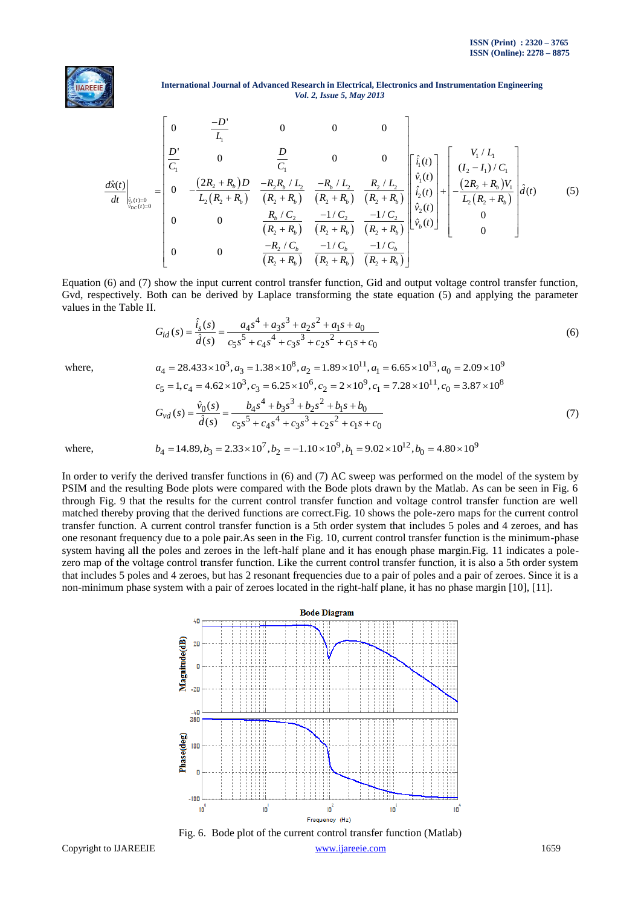

**International Journal of Advanced Research in Electrical, Electronics and Instrumentation Engineering**<br>  $Vol. 2$ , *Issue 5*, *May 2013*<br>  $\begin{bmatrix} 0 & -D' & 0 & 0 \end{bmatrix}$ *Vol. 2, Issue 5, May 2013*

International Journal of Advanced Research in Electrical, Exercises and Instrumentational Engineering

\nVol. 2, Issue 5, May 2013

\n
$$
\frac{d\hat{x}(t)}{dz} = \begin{bmatrix}\n0 & \frac{-D'}{L_1} & 0 & 0 & 0 \\
\frac{D'}{C_1} & 0 & \frac{D}{C_1} & 0 & 0 \\
0 & -\frac{(2R_2 + R_b)D}{L_2(R_2 + R_b)} & \frac{-R_2R_b/L_2}{(R_2 + R_b)} & \frac{-R_b/L_2}{(R_2 + R_b)} & \frac{R_2/L_2}{(R_2 + R_b)} \\
0 & 0 & \frac{R_b/C_2}{(R_2 + R_b)} & \frac{-1/C_2}{(R_2 + R_b)} & \frac{-1/C_2}{(R_2 + R_b)}\n\end{bmatrix}\n\begin{bmatrix}\n\hat{i}_1(t) \\
\hat{i}_2(t) \\
\hat{i}_2(t) \\
\hat{i}_2(t)\n\end{bmatrix} + \n\begin{bmatrix}\nV_1/L_1 \\
(1_2 - I_1)/C_1 \\
-(2R_2 + R_b)V_1 \\
L_2(R_2 + R_b)\n\end{bmatrix} d(t)
$$
\n(5)

\n
$$
\frac{R_b/C_2}{(R_2 + R_b)} - \frac{-1/C_2}{(R_2 + R_b)} - \frac{-1/C_2}{(R_2 + R_b)}\n\begin{bmatrix}\n\hat{i}_1(t) \\
\hat{i}_2(t) \\
\hat{i}_2(t) \\
0\n\end{bmatrix} + \n\begin{bmatrix}\nV_1/L_1 \\
(1_2 - I_1)/C_1 \\
L_2(R_2 + R_b)V_1 \\
0\n\end{bmatrix} d(t)
$$

Equation (6) and (7) show the input current control transfer function, Gid and output voltage control transfer function, Gvd, respectively. Both can be derived by Laplace transforming the state equation (5) and applying the parameter values in the Table II.

$$
G_{id}(s) = \frac{\hat{i}_s(s)}{\hat{d}(s)} = \frac{a_4 s^4 + a_3 s^3 + a_2 s^2 + a_1 s + a_0}{c_5 s^5 + c_4 s^4 + c_3 s^3 + c_2 s^2 + c_1 s + c_0}
$$
(6)  

$$
a_4 = 28.433 \times 10^3, a_3 = 1.38 \times 10^8, a_2 = 1.89 \times 10^{11}, a_1 = 6.65 \times 10^{13}, a_0 = 2.09 \times 10^9
$$

where,

$$
G_{id}(s) = \frac{8}{d(s)} = \frac{1}{c_5s^5 + c_4s^4 + c_3s^3 + c_2s^2 + c_1s + c_0}
$$
\n
$$
a_4 = 28.433 \times 10^3, a_3 = 1.38 \times 10^8, a_2 = 1.89 \times 10^{11}, a_1 = 6.65 \times 10^{13}, a_0 = 2.09 \times 10^9
$$
\n
$$
c_5 = 1, c_4 = 4.62 \times 10^3, c_3 = 6.25 \times 10^6, c_2 = 2 \times 10^9, c_1 = 7.28 \times 10^{11}, c_0 = 3.87 \times 10^8
$$
\n
$$
G_{vd}(s) = \frac{\hat{v}_0(s)}{\hat{d}(s)} = \frac{b_4s^4 + b_3s^3 + b_2s^2 + b_1s + b_0}{c_5s^5 + c_4s^4 + c_3s^3 + c_2s^2 + c_1s + c_0}
$$
\n
$$
b_4 = 14.89, b_3 = 2.33 \times 10^7, b_2 = -1.10 \times 10^9, b_1 = 9.02 \times 10^{12}, b_0 = 4.80 \times 10^9
$$
\n(7)

where,

In order to verify the derived transfer functions in (6) and (7) AC sweep was performed on the model of the system by PSIM and the resulting Bode plots were compared with the Bode plots drawn by the Matlab. As can be seen in Fig. 6 through Fig. 9 that the results for the current control transfer function and voltage control transfer function are well matched thereby proving that the derived functions are correct.Fig. 10 shows the pole-zero maps for the current control transfer function. A current control transfer function is a 5th order system that includes 5 poles and 4 zeroes, and has one resonant frequency due to a pole pair.As seen in the Fig. 10, current control transfer function is the minimum-phase system having all the poles and zeroes in the left-half plane and it has enough phase margin.Fig. 11 indicates a polezero map of the voltage control transfer function. Like the current control transfer function, it is also a 5th order system that includes 5 poles and 4 zeroes, but has 2 resonant frequencies due to a pair of poles and a pair of zeroes. Since it is a non-minimum phase system with a pair of zeroes located in the right-half plane, it has no phase margin [10], [11].



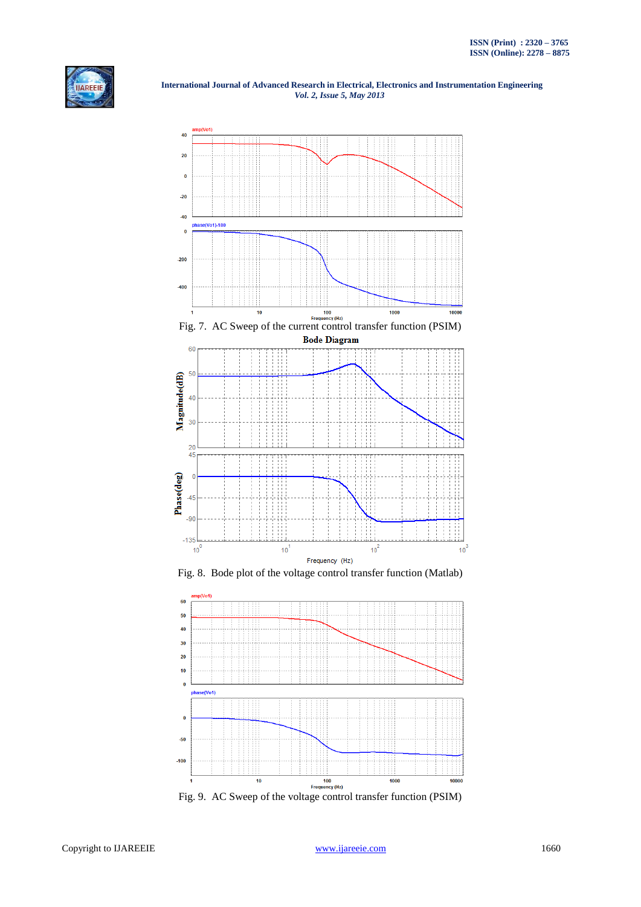

 **International Journal of Advanced Research in Electrical, Electronics and Instrumentation Engineering**  *Vol. 2, Issue 5, May 2013*







Fig. 9. AC Sweep of the voltage control transfer function (PSIM)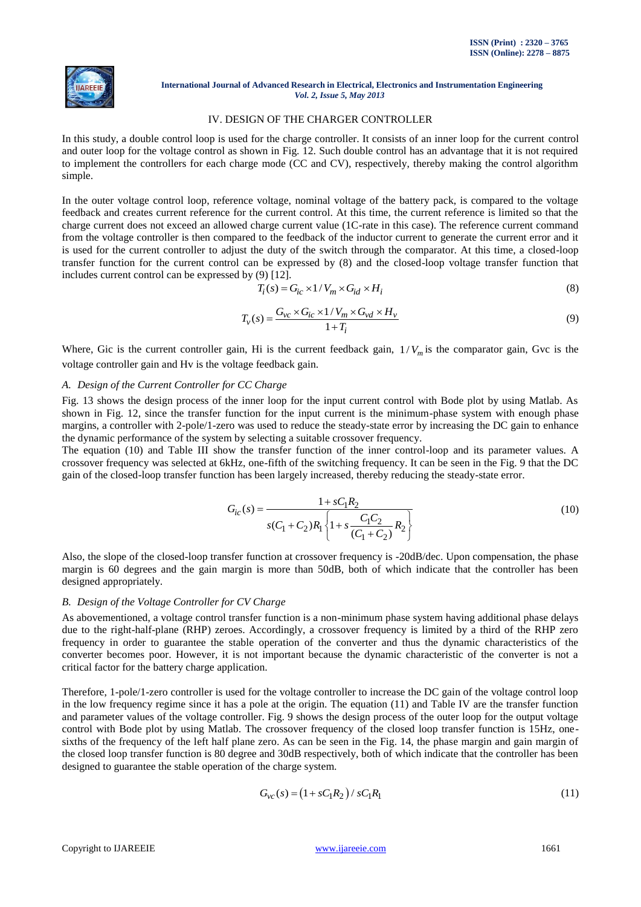

## IV. DESIGN OF THE CHARGER CONTROLLER

In this study, a double control loop is used for the charge controller. It consists of an inner loop for the current control and outer loop for the voltage control as shown in Fig. 12. Such double control has an advantage that it is not required to implement the controllers for each charge mode (CC and CV), respectively, thereby making the control algorithm simple.

In the outer voltage control loop, reference voltage, nominal voltage of the battery pack, is compared to the voltage feedback and creates current reference for the current control. At this time, the current reference is limited so that the charge current does not exceed an allowed charge current value (1C-rate in this case). The reference current command from the voltage controller is then compared to the feedback of the inductor current to generate the current error and it is used for the current controller to adjust the duty of the switch through the comparator. At this time, a closed-loop transfer function for the current control can be expressed by (8) and the closed-loop voltage transfer function that includes current control can be expressed by (9) [12].

$$
T_i(s) = G_{ic} \times 1/V_m \times G_{id} \times H_i
$$
\n(8)

$$
T_v(s) = \frac{G_{vc} \times G_{ic} \times 1 / V_m \times G_{vd} \times H_v}{1 + T_i}
$$
\n(9)

Where, Gic is the current controller gain, Hi is the current feedback gain,  $1/V_m$  is the comparator gain, Gvc is the voltage controller gain and Hv is the voltage feedback gain.

# *A. Design of the Current Controller for CC Charge*

Fig. 13 shows the design process of the inner loop for the input current control with Bode plot by using Matlab. As shown in Fig. 12, since the transfer function for the input current is the minimum-phase system with enough phase margins, a controller with 2-pole/1-zero was used to reduce the steady-state error by increasing the DC gain to enhance the dynamic performance of the system by selecting a suitable crossover frequency.

The equation (10) and Table III show the transfer function of the inner control-loop and its parameter values. A crossover frequency was selected at 6kHz, one-fifth of the switching frequency. It can be seen in the Fig. 9 that the DC gain of the closed-loop transfer function has been largely increased, thereby reducing the steady-state error.

$$
G_{ic}(s) = \frac{1 + sC_1R_2}{s(C_1 + C_2)R_1 \left\{1 + s\frac{C_1C_2}{(C_1 + C_2)}R_2\right\}}
$$
(10)

Also, the slope of the closed-loop transfer function at crossover frequency is -20dB/dec. Upon compensation, the phase margin is 60 degrees and the gain margin is more than 50dB, both of which indicate that the controller has been designed appropriately.

## *B. Design of the Voltage Controller for CV Charge*

As abovementioned, a voltage control transfer function is a non-minimum phase system having additional phase delays due to the right-half-plane (RHP) zeroes. Accordingly, a crossover frequency is limited by a third of the RHP zero frequency in order to guarantee the stable operation of the converter and thus the dynamic characteristics of the converter becomes poor. However, it is not important because the dynamic characteristic of the converter is not a critical factor for the battery charge application.

Therefore, 1-pole/1-zero controller is used for the voltage controller to increase the DC gain of the voltage control loop in the low frequency regime since it has a pole at the origin. The equation  $(11)$  and Table IV are the transfer function and parameter values of the voltage controller. Fig. 9 shows the design process of the outer loop for the output voltage control with Bode plot by using Matlab. The crossover frequency of the closed loop transfer function is 15Hz, onesixths of the frequency of the left half plane zero. As can be seen in the Fig. 14, the phase margin and gain margin of the closed loop transfer function is 80 degree and 30dB respectively, both of which indicate that the controller has been designed to guarantee the stable operation of the charge system.

$$
G_{\nu c}(s) = (1 + sC_1R_2) / sC_1R_1
$$
\n(11)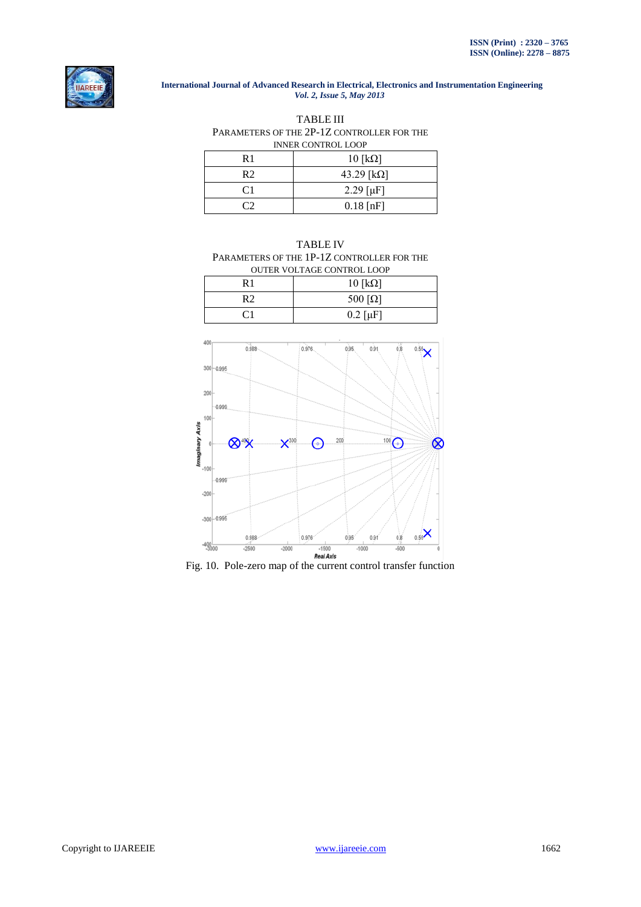

TABLE III PARAMETERS OF THE 2P-1Z CONTROLLER FOR THE INNER CONTROL LOOP

| R 1 | $10$ [k $\Omega$ ] |
|-----|--------------------|
| R2  | 43.29 [kΩ]         |
| C1  | $2.29 [\mu]$       |
|     | $0.18$ [nF]        |

# TABLE IV PARAMETERS OF THE 1P-1Z CONTROLLER FOR THE OUTER VOLTAGE CONTROL LOOP

| R 1 | $10$ [ $k\Omega$ ]         |
|-----|----------------------------|
| R2  | 500 $\lceil \Omega \rceil$ |
| С1  | $0.2 [\mu F]$              |



Fig. 10. Pole-zero map of the current control transfer function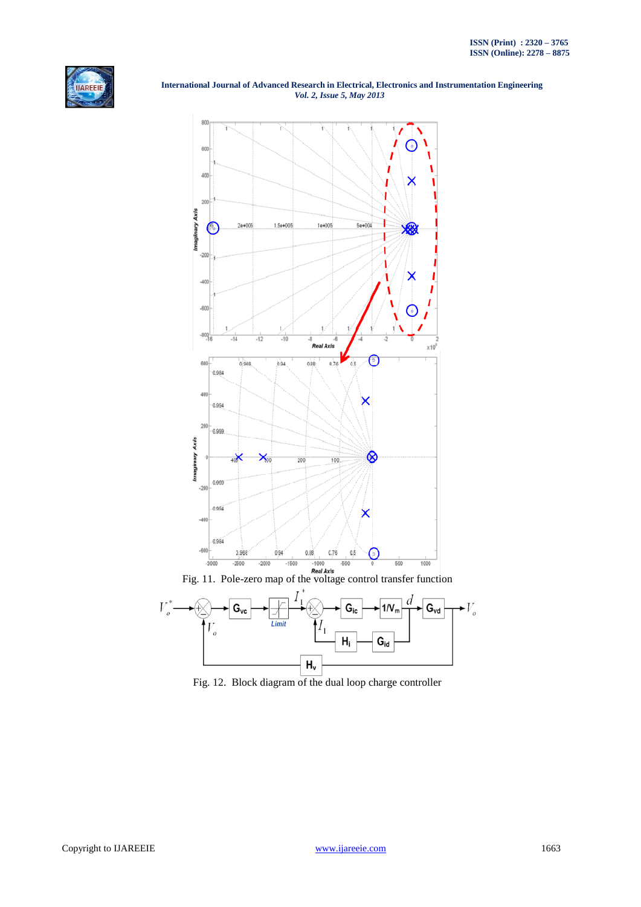





Fig. 12. Block diagram of the dual loop charge controller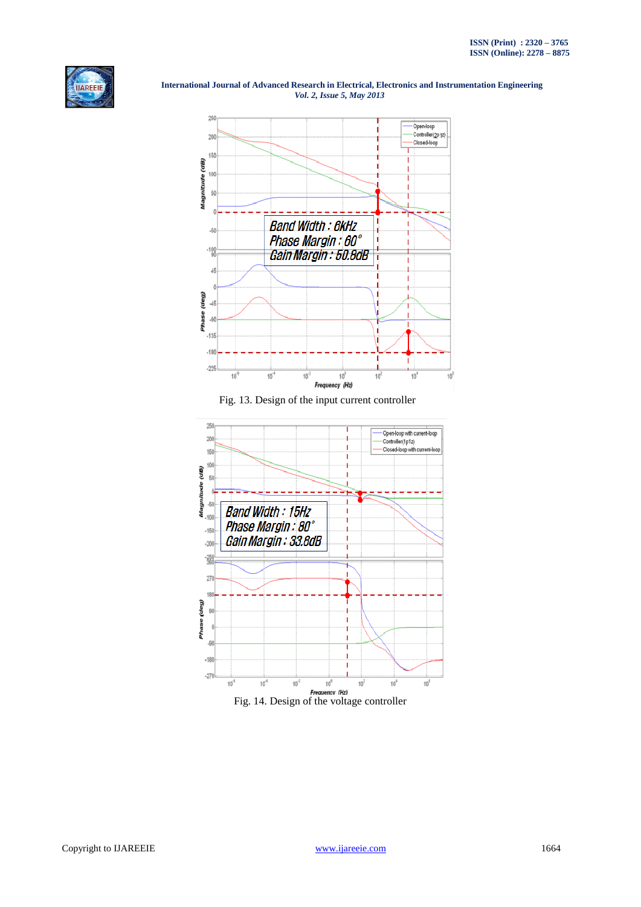



Fig. 13. Design of the input current controller

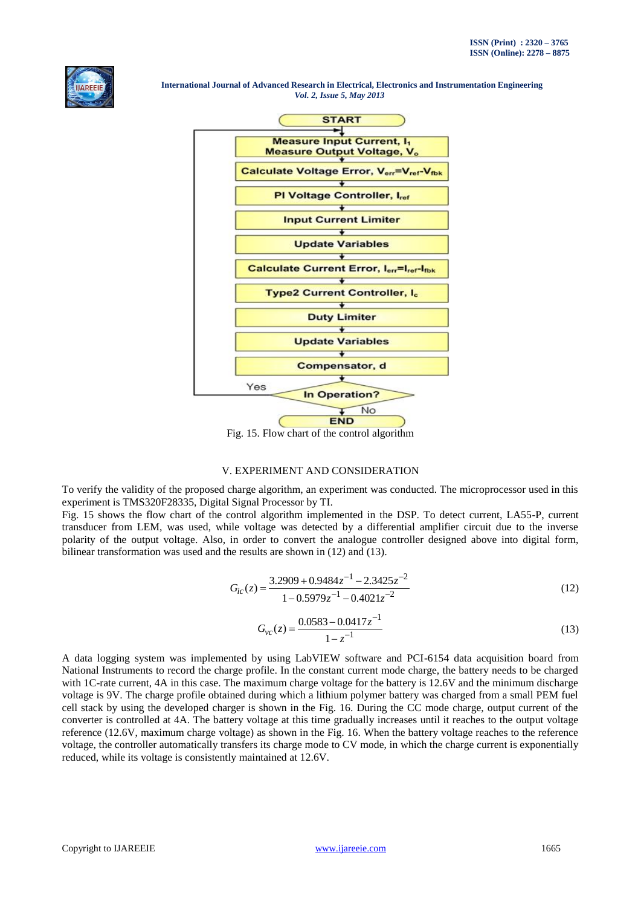



# V. EXPERIMENT AND CONSIDERATION

To verify the validity of the proposed charge algorithm, an experiment was conducted. The microprocessor used in this experiment is TMS320F28335, Digital Signal Processor by TI.

Fig. 15 shows the flow chart of the control algorithm implemented in the DSP. To detect current, LA55-P, current transducer from LEM, was used, while voltage was detected by a differential amplifier circuit due to the inverse polarity of the output voltage. Also, in order to convert the analogue controller designed above into digital form, bilinear transformation was used and the results are shown in (12) and (13).

$$
G_{ic}(z) = \frac{3.2909 + 0.9484z^{-1} - 2.3425z^{-2}}{1 - 0.5979z^{-1} - 0.4021z^{-2}}
$$
\n(12)

$$
G_{\nu c}(z) = \frac{0.0583 - 0.0417z^{-1}}{1 - z^{-1}}
$$
\n(13)

A data logging system was implemented by using LabVIEW software and PCI-6154 data acquisition board from National Instruments to record the charge profile. In the constant current mode charge, the battery needs to be charged with 1C-rate current, 4A in this case. The maximum charge voltage for the battery is 12.6V and the minimum discharge voltage is 9V. The charge profile obtained during which a lithium polymer battery was charged from a small PEM fuel cell stack by using the developed charger is shown in the Fig. 16. During the CC mode charge, output current of the converter is controlled at 4A. The battery voltage at this time gradually increases until it reaches to the output voltage reference (12.6V, maximum charge voltage) as shown in the Fig. 16. When the battery voltage reaches to the reference voltage, the controller automatically transfers its charge mode to CV mode, in which the charge current is exponentially reduced, while its voltage is consistently maintained at 12.6V.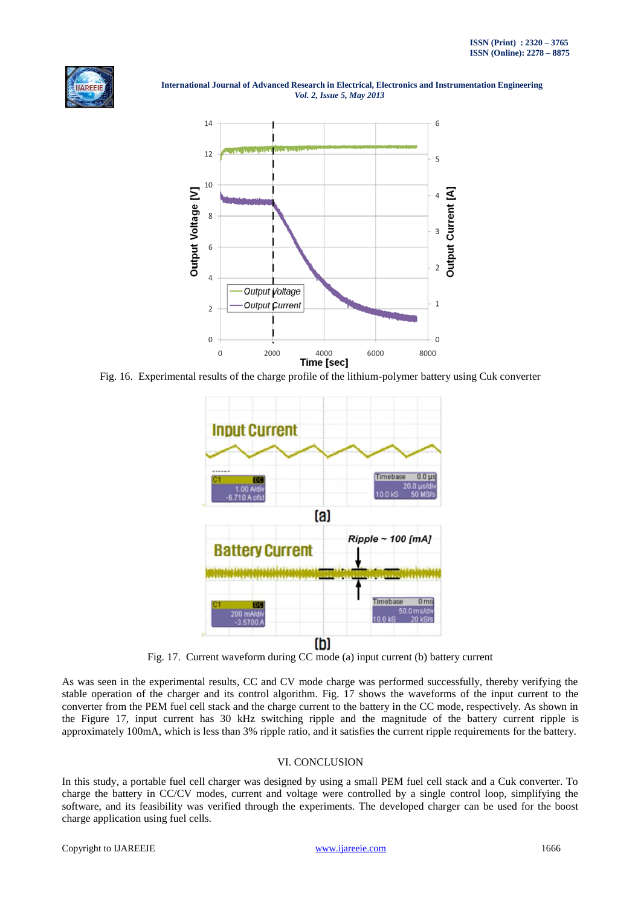



Fig. 16. Experimental results of the charge profile of the lithium-polymer battery using Cuk converter



Fig. 17. Current waveform during CC mode (a) input current (b) battery current

As was seen in the experimental results, CC and CV mode charge was performed successfully, thereby verifying the stable operation of the charger and its control algorithm. Fig. 17 shows the waveforms of the input current to the converter from the PEM fuel cell stack and the charge current to the battery in the CC mode, respectively. As shown in the Figure 17, input current has 30 kHz switching ripple and the magnitude of the battery current ripple is approximately 100mA, which is less than 3% ripple ratio, and it satisfies the current ripple requirements for the battery.

# VI. CONCLUSION

In this study, a portable fuel cell charger was designed by using a small PEM fuel cell stack and a Cuk converter. To charge the battery in CC/CV modes, current and voltage were controlled by a single control loop, simplifying the software, and its feasibility was verified through the experiments. The developed charger can be used for the boost charge application using fuel cells.